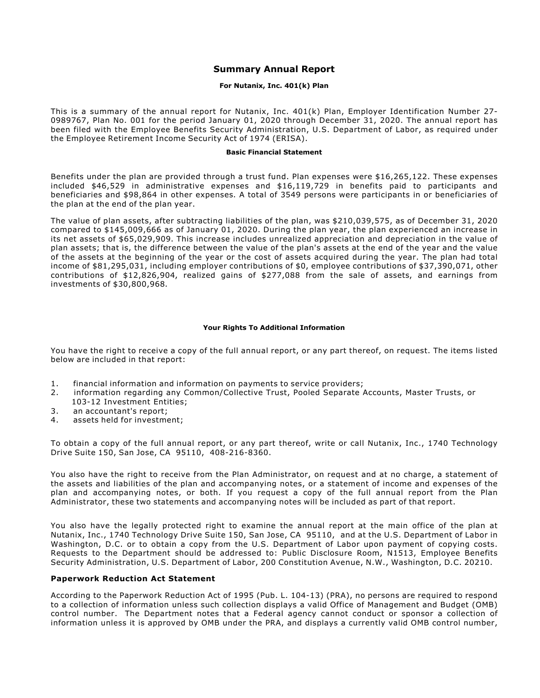# **Summary Annual Report**

## **For Nutanix, Inc. 401(k) Plan**

This is a summary of the annual report for Nutanix, Inc. 401(k) Plan, Employer Identification Number 27- 0989767, Plan No. 001 for the period January 01, 2020 through December 31, 2020. The annual report has been filed with the Employee Benefits Security Administration, U.S. Department of Labor, as required under the Employee Retirement Income Security Act of 1974 (ERISA).

### **Basic Financial Statement**

Benefits under the plan are provided through a trust fund. Plan expenses were \$16,265,122. These expenses included \$46,529 in administrative expenses and \$16,119,729 in benefits paid to participants and beneficiaries and \$98,864 in other expenses. A total of 3549 persons were participants in or beneficiaries of the plan at the end of the plan year.

The value of plan assets, after subtracting liabilities of the plan, was \$210,039,575, as of December 31, 2020 compared to \$145,009,666 as of January 01, 2020. During the plan year, the plan experienced an increase in its net assets of \$65,029,909. This increase includes unrealized appreciation and depreciation in the value of plan assets; that is, the difference between the value of the plan's assets at the end of the year and the value of the assets at the beginning of the year or the cost of assets acquired during the year. The plan had total income of \$81,295,031, including employer contributions of \$0, employee contributions of \$37,390,071, other contributions of \$12,826,904, realized gains of \$277,088 from the sale of assets, and earnings from investments of \$30,800,968.

#### **Your Rights To Additional Information**

You have the right to receive a copy of the full annual report, or any part thereof, on request. The items listed below are included in that report:

- 1. financial information and information on payments to service providers;
- 2. information regarding any Common/Collective Trust, Pooled Separate Accounts, Master Trusts, or 103-12 Investment Entities;
- 3. an accountant's report;
- 4. assets held for investment;

To obtain a copy of the full annual report, or any part thereof, write or call Nutanix, Inc., 1740 Technology Drive Suite 150, San Jose, CA 95110, 408-216-8360.

You also have the right to receive from the Plan Administrator, on request and at no charge, a statement of the assets and liabilities of the plan and accompanying notes, or a statement of income and expenses of the plan and accompanying notes, or both. If you request a copy of the full annual report from the Plan Administrator, these two statements and accompanying notes will be included as part of that report.

You also have the legally protected right to examine the annual report at the main office of the plan at Nutanix, Inc., 1740 Technology Drive Suite 150, San Jose, CA 95110, and at the U.S. Department of Labor in Washington, D.C. or to obtain a copy from the U.S. Department of Labor upon payment of copying costs. Requests to the Department should be addressed to: Public Disclosure Room, N1513, Employee Benefits Security Administration, U.S. Department of Labor, 200 Constitution Avenue, N.W., Washington, D.C. 20210.

#### **Paperwork Reduction Act Statement**

According to the Paperwork Reduction Act of 1995 (Pub. L. 104-13) (PRA), no persons are required to respond to a collection of information unless such collection displays a valid Office of Management and Budget (OMB) control number. The Department notes that a Federal agency cannot conduct or sponsor a collection of information unless it is approved by OMB under the PRA, and displays a currently valid OMB control number,